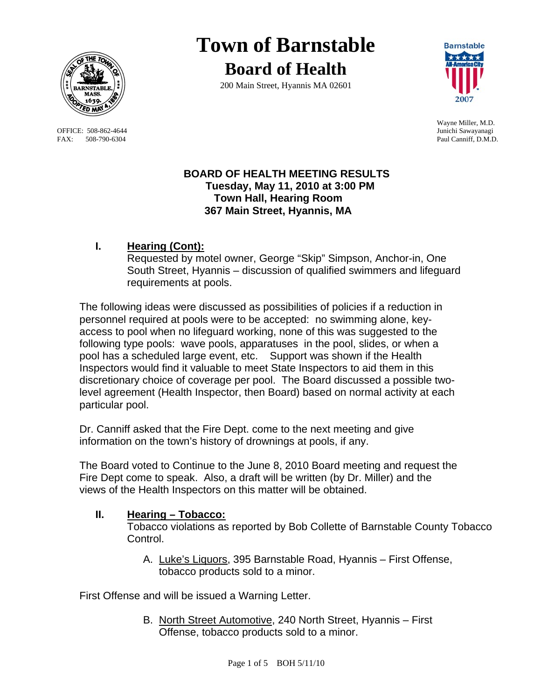

OFFICE: 508-862-4644 FAX: 508-790-6304 Paul Canniff, D.M.D.

# **Town of Barnstable Board of Health**

200 Main Street, Hyannis MA 02601



Wayne Miller, M.D.

## **BOARD OF HEALTH MEETING RESULTS Tuesday, May 11, 2010 at 3:00 PM Town Hall, Hearing Room 367 Main Street, Hyannis, MA**

## **I. Hearing (Cont):**

Requested by motel owner, George "Skip" Simpson, Anchor-in, One South Street, Hyannis – discussion of qualified swimmers and lifeguard requirements at pools.

The following ideas were discussed as possibilities of policies if a reduction in personnel required at pools were to be accepted: no swimming alone, keyaccess to pool when no lifeguard working, none of this was suggested to the following type pools: wave pools, apparatuses in the pool, slides, or when a pool has a scheduled large event, etc. Support was shown if the Health Inspectors would find it valuable to meet State Inspectors to aid them in this discretionary choice of coverage per pool. The Board discussed a possible twolevel agreement (Health Inspector, then Board) based on normal activity at each particular pool.

Dr. Canniff asked that the Fire Dept. come to the next meeting and give information on the town's history of drownings at pools, if any.

The Board voted to Continue to the June 8, 2010 Board meeting and request the Fire Dept come to speak. Also, a draft will be written (by Dr. Miller) and the views of the Health Inspectors on this matter will be obtained.

## **II. Hearing – Tobacco:**

Tobacco violations as reported by Bob Collette of Barnstable County Tobacco Control.

A. Luke's Liquors, 395 Barnstable Road, Hyannis – First Offense, tobacco products sold to a minor.

First Offense and will be issued a Warning Letter.

B. North Street Automotive, 240 North Street, Hyannis – First Offense, tobacco products sold to a minor.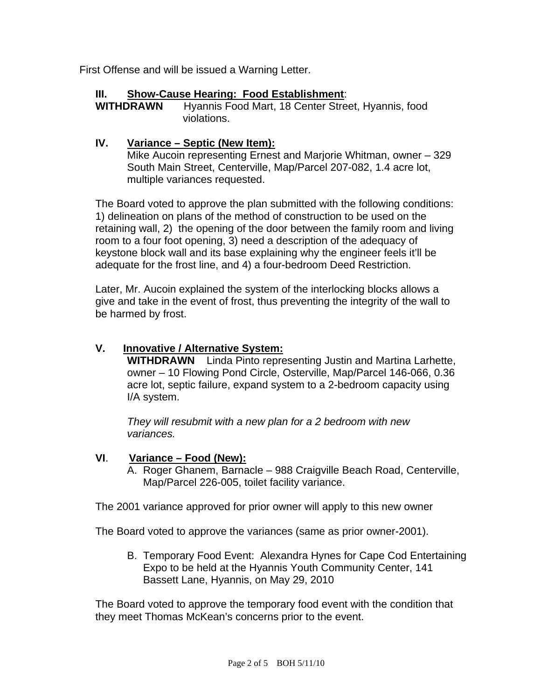First Offense and will be issued a Warning Letter.

### **III. Show-Cause Hearing: Food Establishment**:

**WITHDRAWN** Hyannis Food Mart, 18 Center Street, Hyannis, food violations.

#### **IV. Variance – Septic (New Item):**

Mike Aucoin representing Ernest and Marjorie Whitman, owner – 329 South Main Street, Centerville, Map/Parcel 207-082, 1.4 acre lot, multiple variances requested.

The Board voted to approve the plan submitted with the following conditions: 1) delineation on plans of the method of construction to be used on the retaining wall, 2) the opening of the door between the family room and living room to a four foot opening, 3) need a description of the adequacy of keystone block wall and its base explaining why the engineer feels it'll be adequate for the frost line, and 4) a four-bedroom Deed Restriction.

Later, Mr. Aucoin explained the system of the interlocking blocks allows a give and take in the event of frost, thus preventing the integrity of the wall to be harmed by frost.

## **V. Innovative / Alternative System:**

**WITHDRAWN** Linda Pinto representing Justin and Martina Larhette, owner – 10 Flowing Pond Circle, Osterville, Map/Parcel 146-066, 0.36 acre lot, septic failure, expand system to a 2-bedroom capacity using I/A system.

*They will resubmit with a new plan for a 2 bedroom with new variances.* 

#### **VI**. **Variance – Food (New):**

A. Roger Ghanem, Barnacle – 988 Craigville Beach Road, Centerville, Map/Parcel 226-005, toilet facility variance.

The 2001 variance approved for prior owner will apply to this new owner

The Board voted to approve the variances (same as prior owner-2001).

B. Temporary Food Event: Alexandra Hynes for Cape Cod Entertaining Expo to be held at the Hyannis Youth Community Center, 141 Bassett Lane, Hyannis, on May 29, 2010

The Board voted to approve the temporary food event with the condition that they meet Thomas McKean's concerns prior to the event.